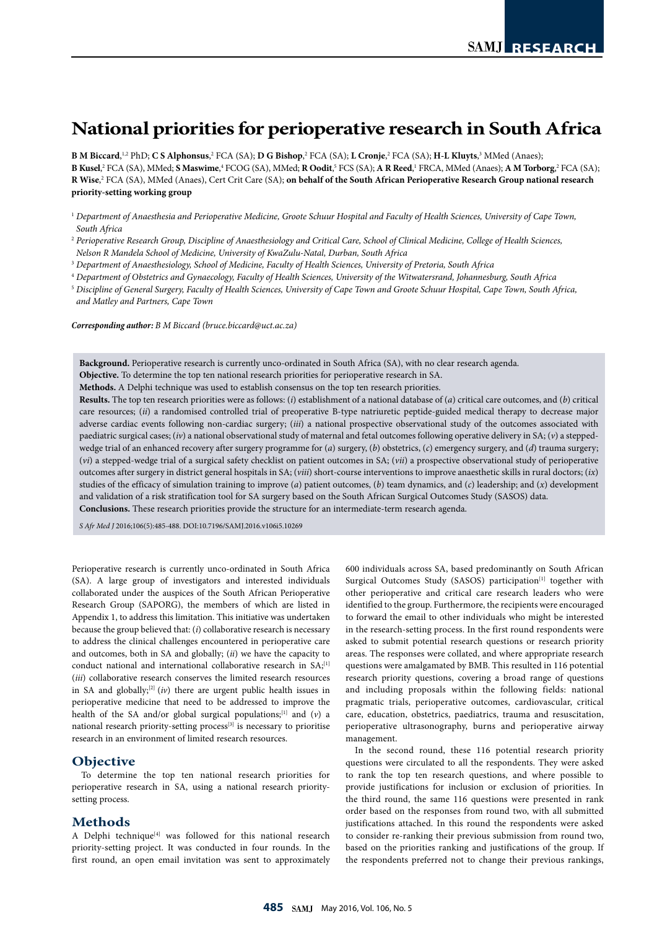# **National priorities for perioperative research in South Africa**

**B** M Biccard,<sup>1,2</sup> PhD; C S Alphonsus,<sup>2</sup> FCA (SA); D G Bishop,<sup>2</sup> FCA (SA); L Cronje,<sup>2</sup> FCA (SA); H-L Kluyts,<sup>3</sup> MMed (Anaes); B Kusel,<sup>2</sup> FCA (SA), MMed; S Maswime,<sup>4</sup> FCOG (SA), MMed; R Oodit,<sup>5</sup> FCS (SA); A R Reed,<sup>1</sup> FRCA, MMed (Anaes); A M Torborg,<sup>2</sup> FCA (SA); **R Wise**, 2 FCA (SA), MMed (Anaes), Cert Crit Care (SA); **on behalf of the South African Perioperative Research Group national research priority-setting working group**

- <sup>2</sup> *Perioperative Research Group, Discipline of Anaesthesiology and Critical Care, School of Clinical Medicine, College of Health Sciences,*
- *Nelson R Mandela School of Medicine, University of KwaZulu-Natal, Durban, South Africa*
- <sup>3</sup> *Department of Anaesthesiology, School of Medicine, Faculty of Health Sciences, University of Pretoria, South Africa*
- <sup>4</sup> *Department of Obstetrics and Gynaecology, Faculty of Health Sciences, University of the Witwatersrand, Johannesburg, South Africa*
- <sup>5</sup> *Discipline of General Surgery, Faculty of Health Sciences, University of Cape Town and Groote Schuur Hospital, Cape Town, South Africa, and Matley and Partners, Cape Town*

*Corresponding author: B M Biccard (bruce.biccard@uct.ac.za)*

**Background.** Perioperative research is currently unco-ordinated in South Africa (SA), with no clear research agenda.

**Objective.** To determine the top ten national research priorities for perioperative research in SA.

**Methods.** A Delphi technique was used to establish consensus on the top ten research priorities.

**Results.** The top ten research priorities were as follows: (*i*) establishment of a national database of (*a*) critical care outcomes, and (*b*) critical care resources; (*ii*) a randomised controlled trial of preoperative B-type natriuretic peptide-guided medical therapy to decrease major adverse cardiac events following non-cardiac surgery; (*iii*) a national prospective observational study of the outcomes associated with paediatric surgical cases; (*iv*) a national observational study of maternal and fetal outcomes following operative delivery in SA; (*v*) a steppedwedge trial of an enhanced recovery after surgery programme for (*a*) surgery, (*b*) obstetrics, (*c*) emergency surgery, and (*d*) trauma surgery; (*vi*) a stepped-wedge trial of a surgical safety checklist on patient outcomes in SA; (*vii*) a prospective observational study of perioperative outcomes after surgery in district general hospitals in SA; (*viii*) short-course interventions to improve anaesthetic skills in rural doctors; (*ix*) studies of the efficacy of simulation training to improve (*a*) patient outcomes, (*b*) team dynamics, and (*c*) leadership; and (*x*) development and validation of a risk stratification tool for SA surgery based on the South African Surgical Outcomes Study (SASOS) data. **Conclusions.** These research priorities provide the structure for an intermediate-term research agenda.

*S Afr Med J* 2016;106(5):485-488. DOI:10.7196/SAMJ.2016.v106i5.10269

Perioperative research is currently unco-ordinated in South Africa (SA). A large group of investigators and interested individuals collaborated under the auspices of the South African Perioperative Research Group (SAPORG), the members of which are listed in Appendix 1, to address this limitation. This initiative was undertaken because the group believed that: (*i*) collaborative research is necessary to address the clinical challenges encountered in perioperative care and outcomes, both in SA and globally; (*ii*) we have the capacity to conduct national and international collaborative research in SA;<sup>[1]</sup> (*iii*) collaborative research conserves the limited research resources in SA and globally; $[2]$  (*iv*) there are urgent public health issues in perioperative medicine that need to be addressed to improve the health of the SA and/or global surgical populations;[1] and (*v*) a national research priority-setting process<sup>[3]</sup> is necessary to prioritise research in an environment of limited research resources.

#### **Objective**

To determine the top ten national research priorities for perioperative research in SA, using a national research prioritysetting process.

#### **Methods**

A Delphi technique<sup>[4]</sup> was followed for this national research priority-setting project. It was conducted in four rounds. In the first round, an open email invitation was sent to approximately

600 individuals across SA, based predominantly on South African Surgical Outcomes Study (SASOS) participation<sup>[1]</sup> together with other perioperative and critical care research leaders who were identified to the group. Furthermore, the recipients were encouraged to forward the email to other individuals who might be interested in the research-setting process. In the first round respondents were asked to submit potential research questions or research priority areas. The responses were collated, and where appropriate research questions were amalgamated by BMB. This resulted in 116 potential research priority questions, covering a broad range of questions and including proposals within the following fields: national pragmatic trials, perioperative outcomes, cardiovascular, critical care, education, obstetrics, paediatrics, trauma and resuscitation, perioperative ultrasonography, burns and perioperative airway management.

In the second round, these 116 potential research priority questions were circulated to all the respondents. They were asked to rank the top ten research questions, and where possible to provide justifications for inclusion or exclusion of priorities. In the third round, the same 116 questions were presented in rank order based on the responses from round two, with all submitted justifications attached. In this round the respondents were asked to consider re-ranking their previous submission from round two, based on the priorities ranking and justifications of the group. If the respondents preferred not to change their previous rankings,

<sup>1</sup> *Department of Anaesthesia and Perioperative Medicine, Groote Schuur Hospital and Faculty of Health Sciences, University of Cape Town, South Africa*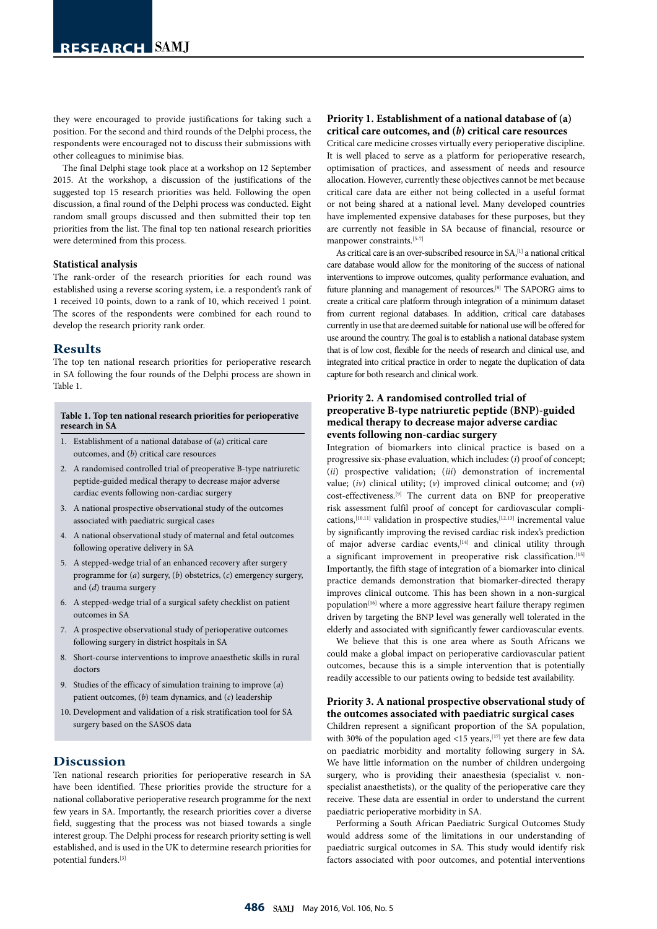they were encouraged to provide justifications for taking such a position. For the second and third rounds of the Delphi process, the respondents were encouraged not to discuss their submissions with other colleagues to minimise bias.

The final Delphi stage took place at a workshop on 12 September 2015. At the workshop, a discussion of the justifications of the suggested top 15 research priorities was held. Following the open discussion, a final round of the Delphi process was conducted. Eight random small groups discussed and then submitted their top ten priorities from the list. The final top ten national research priorities were determined from this process.

#### **Statistical analysis**

The rank-order of the research priorities for each round was established using a reverse scoring system, i.e. a respondent's rank of 1 received 10 points, down to a rank of 10, which received 1 point. The scores of the respondents were combined for each round to develop the research priority rank order.

#### **Results**

The top ten national research priorities for perioperative research in SA following the four rounds of the Delphi process are shown in Table 1.

#### **Table 1. Top ten national research priorities for perioperative research in SA**

- 1. Establishment of a national database of (*a*) critical care outcomes, and (*b*) critical care resources
- 2. A randomised controlled trial of preoperative B-type natriuretic peptide-guided medical therapy to decrease major adverse cardiac events following non-cardiac surgery
- 3. A national prospective observational study of the outcomes associated with paediatric surgical cases
- 4. A national observational study of maternal and fetal outcomes following operative delivery in SA
- 5. A stepped-wedge trial of an enhanced recovery after surgery programme for (*a*) surgery, (*b*) obstetrics, (*c*) emergency surgery, and (*d*) trauma surgery
- 6. A stepped-wedge trial of a surgical safety checklist on patient outcomes in SA
- 7. A prospective observational study of perioperative outcomes following surgery in district hospitals in SA
- 8. Short-course interventions to improve anaesthetic skills in rural doctors
- 9. Studies of the efficacy of simulation training to improve (*a*) patient outcomes, (*b*) team dynamics, and (*c*) leadership
- 10. Development and validation of a risk stratification tool for SA surgery based on the SASOS data

## **Discussion**

Ten national research priorities for perioperative research in SA have been identified. These priorities provide the structure for a national collaborative perioperative research programme for the next few years in SA. Importantly, the research priorities cover a diverse field, suggesting that the process was not biased towards a single interest group. The Delphi process for research priority setting is well established, and is used in the UK to determine research priorities for potential funders.[3]

#### **Priority 1. Establishment of a national database of (a) critical care outcomes, and (***b***) critical care resources**

Critical care medicine crosses virtually every perioperative discipline. It is well placed to serve as a platform for perioperative research, optimisation of practices, and assessment of needs and resource allocation. However, currently these objectives cannot be met because critical care data are either not being collected in a useful format or not being shared at a national level. Many developed countries have implemented expensive databases for these purposes, but they are currently not feasible in SA because of financial, resource or manpower constraints.<sup>[5-7]</sup>

As critical care is an over-subscribed resource in SA,<sup>[1]</sup> a national critical care database would allow for the monitoring of the success of national interventions to improve outcomes, quality performance evaluation, and future planning and management of resources.[8] The SAPORG aims to create a critical care platform through integration of a minimum dataset from current regional databases. In addition, critical care databases currently in use that are deemed suitable for national use will be offered for use around the country. The goal is to establish a national database system that is of low cost, flexible for the needs of research and clinical use, and integrated into critical practice in order to negate the duplication of data capture for both research and clinical work.

#### **Priority 2. A randomised controlled trial of preoperative B-type natriuretic peptide (BNP)-guided medical therapy to decrease major adverse cardiac events following non-cardiac surgery**

Integration of biomarkers into clinical practice is based on a progressive six-phase evaluation, which includes: (*i*) proof of concept; (*ii*) prospective validation; (*iii*) demonstration of incremental value; (*iv*) clinical utility; (*v*) improved clinical outcome; and (*vi*) cost-effectiveness.[9] The current data on BNP for preoperative risk assessment fulfil proof of concept for cardiovascular complications,<sup>[10,11]</sup> validation in prospective studies,<sup>[12,13]</sup> incremental value by significantly improving the revised cardiac risk index's prediction of major adverse cardiac events, [14] and clinical utility through a significant improvement in preoperative risk classification.<sup>[15]</sup> Importantly, the fifth stage of integration of a biomarker into clinical practice demands demonstration that biomarker-directed therapy improves clinical outcome. This has been shown in a non-surgical population<sup>[16]</sup> where a more aggressive heart failure therapy regimen driven by targeting the BNP level was generally well tolerated in the elderly and associated with significantly fewer cardiovascular events.

We believe that this is one area where as South Africans we could make a global impact on perioperative cardiovascular patient outcomes, because this is a simple intervention that is potentially readily accessible to our patients owing to bedside test availability.

### **Priority 3. A national prospective observational study of the outcomes associated with paediatric surgical cases**

Children represent a significant proportion of the SA population, with 30% of the population aged <15 years,  $[17]$  yet there are few data on paediatric morbidity and mortality following surgery in SA. We have little information on the number of children undergoing surgery, who is providing their anaesthesia (specialist v. nonspecialist anaesthetists), or the quality of the perioperative care they receive. These data are essential in order to understand the current paediatric perioperative morbidity in SA.

Performing a South African Paediatric Surgical Outcomes Study would address some of the limitations in our understanding of paediatric surgical outcomes in SA. This study would identify risk factors associated with poor outcomes, and potential interventions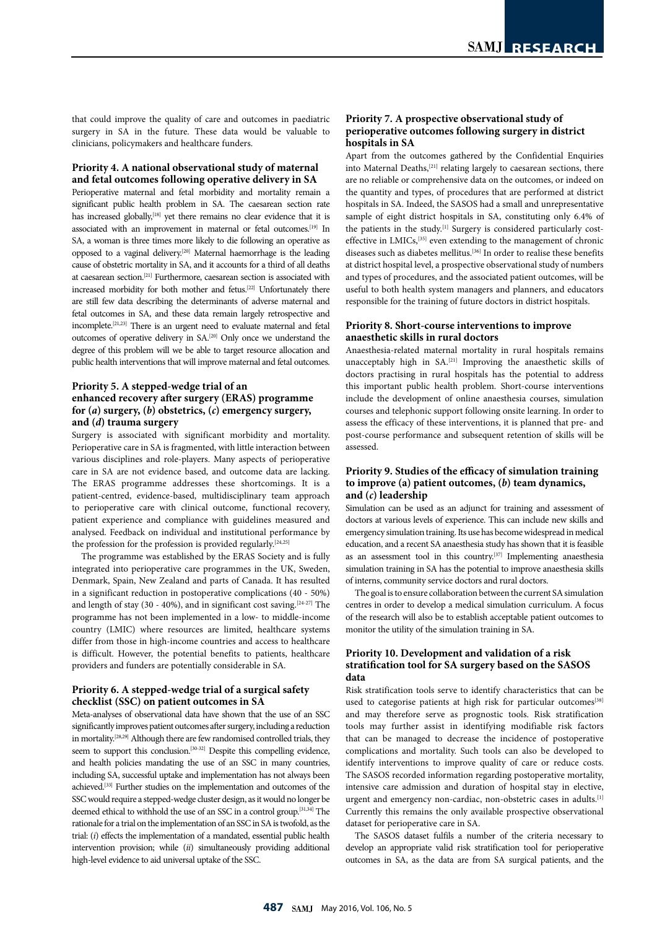that could improve the quality of care and outcomes in paediatric surgery in SA in the future. These data would be valuable to clinicians, policymakers and healthcare funders.

#### **Priority 4. A national observational study of maternal and fetal outcomes following operative delivery in SA**

Perioperative maternal and fetal morbidity and mortality remain a significant public health problem in SA. The caesarean section rate has increased globally,<sup>[18]</sup> yet there remains no clear evidence that it is associated with an improvement in maternal or fetal outcomes.<sup>[19]</sup> In SA, a woman is three times more likely to die following an operative as opposed to a vaginal delivery.[20] Maternal haemorrhage is the leading cause of obstetric mortality in SA, and it accounts for a third of all deaths at caesarean section.[21] Furthermore, caesarean section is associated with increased morbidity for both mother and fetus.[22] Unfortunately there are still few data describing the determinants of adverse maternal and fetal outcomes in SA, and these data remain largely retrospective and incomplete.[21,23] There is an urgent need to evaluate maternal and fetal outcomes of operative delivery in SA.[20] Only once we understand the degree of this problem will we be able to target resource allocation and public health interventions that will improve maternal and fetal outcomes.

#### **Priority 5. A stepped-wedge trial of an enhanced recovery after surgery (ERAS) programme for (***a***) surgery, (***b***) obstetrics, (***c***) emergency surgery, and (***d***) trauma surgery**

Surgery is associated with significant morbidity and mortality. Perioperative care in SA is fragmented, with little interaction between various disciplines and role-players. Many aspects of perioperative care in SA are not evidence based, and outcome data are lacking. The ERAS programme addresses these shortcomings. It is a patient-centred, evidence-based, multidisciplinary team approach to perioperative care with clinical outcome, functional recovery, patient experience and compliance with guidelines measured and analysed. Feedback on individual and institutional performance by the profession for the profession is provided regularly.<sup>[24,25]</sup>

The programme was established by the ERAS Society and is fully integrated into perioperative care programmes in the UK, Sweden, Denmark, Spain, New Zealand and parts of Canada. It has resulted in a significant reduction in postoperative complications (40 - 50%) and length of stay (30 - 40%), and in significant cost saving.<sup>[24-27]</sup> The programme has not been implemented in a low- to middle-income country (LMIC) where resources are limited, healthcare systems differ from those in high-income countries and access to healthcare is difficult. However, the potential benefits to patients, healthcare providers and funders are potentially considerable in SA.

#### **Priority 6. A stepped-wedge trial of a surgical safety checklist (SSC) on patient outcomes in SA**

Meta-analyses of observational data have shown that the use of an SSC significantly improves patient outcomes after surgery, including a reduction in mortality.[28,29] Although there are few randomised controlled trials, they seem to support this conclusion.<sup>[30-32]</sup> Despite this compelling evidence, and health policies mandating the use of an SSC in many countries, including SA, successful uptake and implementation has not always been achieved.[33] Further studies on the implementation and outcomes of the SSC would require a stepped-wedge cluster design, as it would no longer be deemed ethical to withhold the use of an SSC in a control group.[31,34] The rationale for a trial on the implementation of an SSC in SA is twofold, as the trial: (*i*) effects the implementation of a mandated, essential public health intervention provision; while (*ii*) simultaneously providing additional high-level evidence to aid universal uptake of the SSC.

#### **Priority 7. A prospective observational study of perioperative outcomes following surgery in district hospitals in SA**

Apart from the outcomes gathered by the Confidential Enquiries into Maternal Deaths,<sup>[21]</sup> relating largely to caesarean sections, there are no reliable or comprehensive data on the outcomes, or indeed on the quantity and types, of procedures that are performed at district hospitals in SA. Indeed, the SASOS had a small and unrepresentative sample of eight district hospitals in SA, constituting only 6.4% of the patients in the study.<sup>[1]</sup> Surgery is considered particularly costeffective in LMICs,<sup>[35]</sup> even extending to the management of chronic diseases such as diabetes mellitus.<sup>[36]</sup> In order to realise these benefits at district hospital level, a prospective observational study of numbers and types of procedures, and the associated patient outcomes, will be useful to both health system managers and planners, and educators responsible for the training of future doctors in district hospitals.

### **Priority 8. Short-course interventions to improve anaesthetic skills in rural doctors**

Anaesthesia-related maternal mortality in rural hospitals remains unacceptably high in SA.[21] Improving the anaesthetic skills of doctors practising in rural hospitals has the potential to address this important public health problem. Short-course interventions include the development of online anaesthesia courses, simulation courses and telephonic support following onsite learning. In order to assess the efficacy of these interventions, it is planned that pre- and post-course performance and subsequent retention of skills will be assessed.

#### **Priority 9. Studies of the efficacy of simulation training to improve (a) patient outcomes, (***b***) team dynamics, and (***c***) leadership**

Simulation can be used as an adjunct for training and assessment of doctors at various levels of experience. This can include new skills and emergency simulation training. Its use has become widespread in medical education, and a recent SA anaesthesia study has shown that it is feasible as an assessment tool in this country.[37] Implementing anaesthesia simulation training in SA has the potential to improve anaesthesia skills of interns, community service doctors and rural doctors.

The goal is to ensure collaboration between the current SA simulation centres in order to develop a medical simulation curriculum. A focus of the research will also be to establish acceptable patient outcomes to monitor the utility of the simulation training in SA.

#### **Priority 10. Development and validation of a risk stratification tool for SA surgery based on the SASOS data**

Risk stratification tools serve to identify characteristics that can be used to categorise patients at high risk for particular outcomes<sup>[38]</sup> and may therefore serve as prognostic tools. Risk stratification tools may further assist in identifying modifiable risk factors that can be managed to decrease the incidence of postoperative complications and mortality. Such tools can also be developed to identify interventions to improve quality of care or reduce costs. The SASOS recorded information regarding postoperative mortality, intensive care admission and duration of hospital stay in elective, urgent and emergency non-cardiac, non-obstetric cases in adults.[1] Currently this remains the only available prospective observational dataset for perioperative care in SA.

The SASOS dataset fulfils a number of the criteria necessary to develop an appropriate valid risk stratification tool for perioperative outcomes in SA, as the data are from SA surgical patients, and the